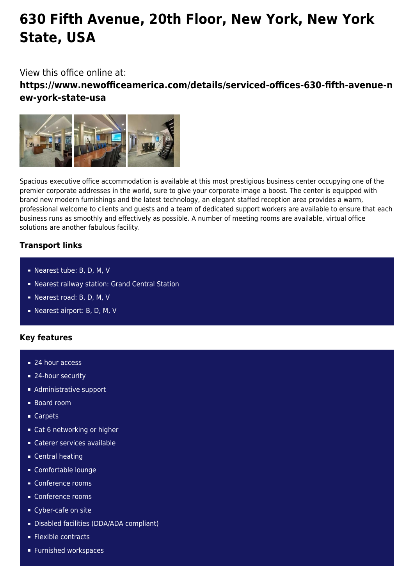# **630 Fifth Avenue, 20th Floor, New York, New York State, USA**

## View this office online at:

**https://www.newofficeamerica.com/details/serviced-offices-630-fifth-avenue-n ew-york-state-usa**



Spacious executive office accommodation is available at this most prestigious business center occupying one of the premier corporate addresses in the world, sure to give your corporate image a boost. The center is equipped with brand new modern furnishings and the latest technology, an elegant staffed reception area provides a warm, professional welcome to clients and guests and a team of dedicated support workers are available to ensure that each business runs as smoothly and effectively as possible. A number of meeting rooms are available, virtual office solutions are another fabulous facility.

### **Transport links**

- Nearest tube: B, D, M, V
- Nearest railway station: Grand Central Station
- Nearest road: B, D, M, V
- Nearest airport: B, D, M, V

#### **Key features**

- 24 hour access
- 24-hour security
- **Administrative support**
- Board room
- Carpets
- Cat 6 networking or higher
- Caterer services available
- **Central heating**
- Comfortable lounge
- Conference rooms
- Conference rooms
- Cyber-cafe on site
- Disabled facilities (DDA/ADA compliant)
- **Flexible contracts**
- **Furnished workspaces**